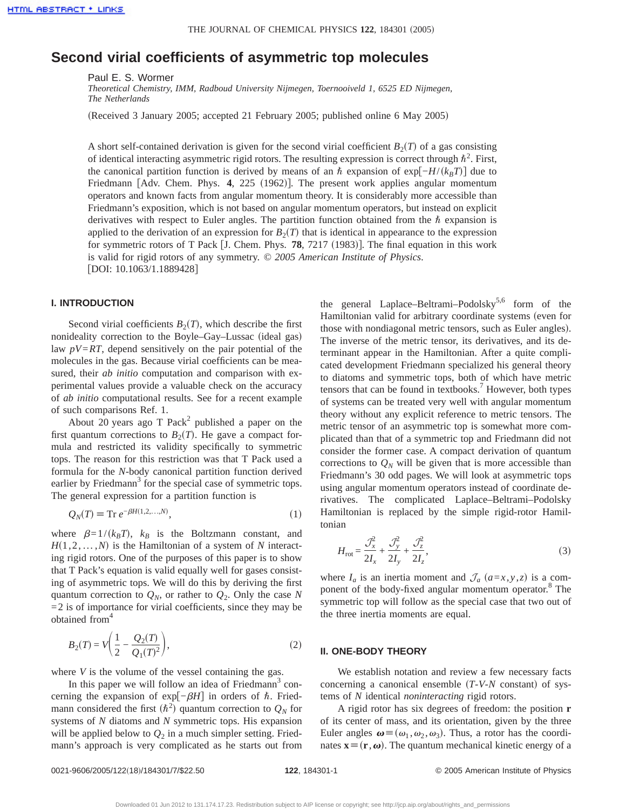# **Second virial coefficients of asymmetric top molecules**

Paul E. S. Wormer

*Theoretical Chemistry, IMM, Radboud University Nijmegen, Toernooiveld 1, 6525 ED Nijmegen, The Netherlands*

(Received 3 January 2005; accepted 21 February 2005; published online 6 May 2005)

A short self-contained derivation is given for the second virial coefficient  $B_2(T)$  of a gas consisting of identical interacting asymmetric rigid rotors. The resulting expression is correct through  $\hbar^2$ . First, the canonical partition function is derived by means of an  $\hbar$  expansion of exp $[-H/(k_BT)]$  due to Friedmann  $\lceil \text{Adv. Chem. Phys. } 4, 225 (1962) \rceil$ . The present work applies angular momentum operators and known facts from angular momentum theory. It is considerably more accessible than Friedmann's exposition, which is not based on angular momentum operators, but instead on explicit derivatives with respect to Euler angles. The partition function obtained from the  $\hbar$  expansion is applied to the derivation of an expression for  $B_2(T)$  that is identical in appearance to the expression for symmetric rotors of T Pack  $\left[$  J. Chem. Phys. **78**, 7217 (1983). The final equation in this work is valid for rigid rotors of any symmetry. © *2005 American Institute of Physics*. [DOI: 10.1063/1.1889428]

# **I. INTRODUCTION**

Second virial coefficients  $B_2(T)$ , which describe the first nonideality correction to the Boyle–Gay–Lussac (ideal gas) law  $pV=RT$ , depend sensitively on the pair potential of the molecules in the gas. Because virial coefficients can be measured, their *ab initio* computation and comparison with experimental values provide a valuable check on the accuracy of *ab initio* computational results. See for a recent example of such comparisons Ref. 1.

About 20 years ago T Pack<sup>2</sup> published a paper on the first quantum corrections to  $B_2(T)$ . He gave a compact formula and restricted its validity specifically to symmetric tops. The reason for this restriction was that T Pack used a formula for the *N*-body canonical partition function derived earlier by Friedmann<sup>3</sup> for the special case of symmetric tops. The general expression for a partition function is

$$
Q_N(T) \equiv \text{Tr } e^{-\beta H(1,2,\dots,N)},\tag{1}
$$

where  $\beta=1/(k_BT)$ ,  $k_B$  is the Boltzmann constant, and  $H(1,2,\ldots,N)$  is the Hamiltonian of a system of *N* interacting rigid rotors. One of the purposes of this paper is to show that T Pack's equation is valid equally well for gases consisting of asymmetric tops. We will do this by deriving the first quantum correction to  $Q_N$ , or rather to  $Q_2$ . Only the case N  $=$  2 is of importance for virial coefficients, since they may be obtained from<sup>4</sup>

$$
B_2(T) = V\left(\frac{1}{2} - \frac{Q_2(T)}{Q_1(T)^2}\right),\tag{2}
$$

where *V* is the volume of the vessel containing the gas.

In this paper we will follow an idea of Friedmann<sup>3</sup> concerning the expansion of exp[-*βH*] in orders of  $h$ . Friedmann considered the first  $(h^2)$  quantum correction to  $Q_N$  for systems of *N* diatoms and *N* symmetric tops. His expansion will be applied below to  $Q_2$  in a much simpler setting. Friedmann's approach is very complicated as he starts out from the general Laplace–Beltrami–Podolsky<sup>5,6</sup> form of the Hamiltonian valid for arbitrary coordinate systems (even for those with nondiagonal metric tensors, such as Euler angles). The inverse of the metric tensor, its derivatives, and its determinant appear in the Hamiltonian. After a quite complicated development Friedmann specialized his general theory to diatoms and symmetric tops, both of which have metric tensors that can be found in textbooks.<sup>7</sup> However, both types of systems can be treated very well with angular momentum theory without any explicit reference to metric tensors. The metric tensor of an asymmetric top is somewhat more complicated than that of a symmetric top and Friedmann did not consider the former case. A compact derivation of quantum corrections to  $Q_N$  will be given that is more accessible than Friedmann's 30 odd pages. We will look at asymmetric tops using angular momentum operators instead of coordinate derivatives. The complicated Laplace–Beltrami–Podolsky Hamiltonian is replaced by the simple rigid-rotor Hamiltonian

$$
H_{\rm rot} = \frac{\mathcal{J}_x^2}{2I_x} + \frac{\mathcal{J}_y^2}{2I_y} + \frac{\mathcal{J}_z^2}{2I_z},\tag{3}
$$

where  $I_a$  is an inertia moment and  $\mathcal{J}_a$  ( $a=x, y, z$ ) is a component of the body-fixed angular momentum operator.<sup>8</sup> The symmetric top will follow as the special case that two out of the three inertia moments are equal.

## **II. ONE-BODY THEORY**

We establish notation and review a few necessary facts concerning a canonical ensemble  $(T-V-N \text{ constant})$  of systems of *N* identical *noninteracting* rigid rotors.

A rigid rotor has six degrees of freedom: the position **r** of its center of mass, and its orientation, given by the three Euler angles  $\boldsymbol{\omega} \equiv (\omega_1, \omega_2, \omega_3)$ . Thus, a rotor has the coordinates  $\mathbf{x} \equiv (\mathbf{r}, \boldsymbol{\omega})$ . The quantum mechanical kinetic energy of a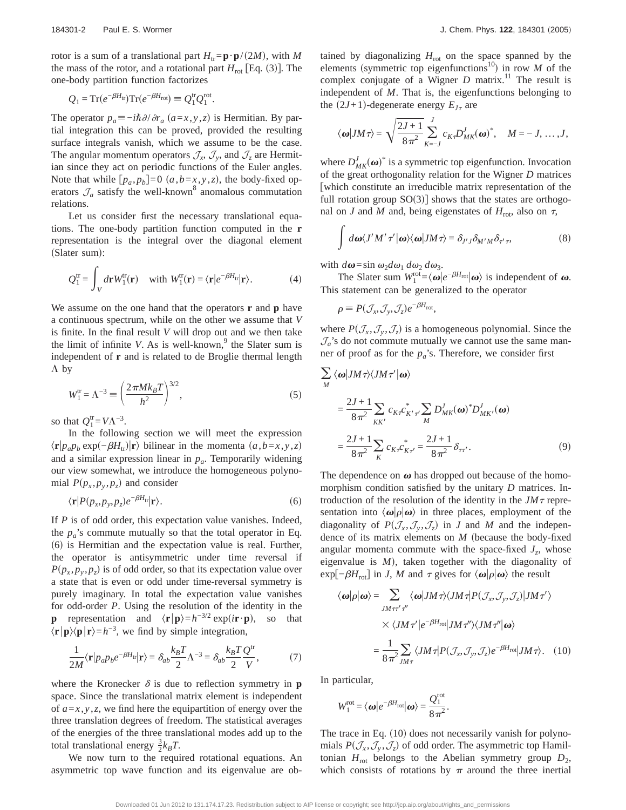rotor is a sum of a translational part  $H$ <sub>tr</sub>=**p**·**p**/(2*M*), with *M* the mass of the rotor, and a rotational part  $H_{\text{rot}}$  [Eq. (3)]. The one-body partition function factorizes

$$
Q_1 = \mathrm{Tr}(e^{-\beta H_{\text{tr}}}) \mathrm{Tr}(e^{-\beta H_{\text{rot}}}) \equiv Q_1^{\text{tr}} Q_1^{\text{rot}}.
$$

The operator  $p_a \equiv -i\hbar \partial/\partial r_a$  ( $a = x, y, z$ ) is Hermitian. By partial integration this can be proved, provided the resulting surface integrals vanish, which we assume to be the case. The angular momentum operators  $\mathcal{J}_x$ ,  $\mathcal{J}_y$ , and  $\mathcal{J}_z$  are Hermitian since they act on periodic functions of the Euler angles. Note that while  $[p_a, p_b] = 0$   $(a, b = x, y, z)$ , the body-fixed operators  $\mathcal{J}_a$  satisfy the well-known<sup>8</sup> anomalous commutation relations.

Let us consider first the necessary translational equations. The one-body partition function computed in the **r** representation is the integral over the diagonal element (Slater sum):

$$
Q_1^{\text{tr}} = \int_V d\mathbf{r} W_1^{\text{tr}}(\mathbf{r}) \quad \text{with } W_1^{\text{tr}}(\mathbf{r}) = \langle \mathbf{r} | e^{-\beta H_{\text{tr}}} | \mathbf{r} \rangle. \tag{4}
$$

We assume on the one hand that the operators **r** and **p** have a continuous spectrum, while on the other we assume that *V* is finite. In the final result *V* will drop out and we then take the limit of infinite *V*. As is well-known,  $\theta$  the Slater sum is independent of **r** and is related to de Broglie thermal length  $\Lambda$  by

$$
W_1^{\text{tr}} = \Lambda^{-3} \equiv \left(\frac{2\pi Mk_B T}{h^2}\right)^{3/2},\tag{5}
$$

so that  $Q_1^{\text{tr}}=V\Lambda^{-3}$ .

In the following section we will meet the expression  $\langle \mathbf{r} | p_a p_b \exp(-\beta H_{tr}) | \mathbf{r} \rangle$  bilinear in the momenta  $(a, b = x, y, z)$ and a similar expression linear in  $p_a$ . Temporarily widening our view somewhat, we introduce the homogeneous polynomial  $P(p_x, p_y, p_z)$  and consider

$$
\langle \mathbf{r} | P(p_x, p_y, p_z) e^{-\beta H_{\text{tr}}} | \mathbf{r} \rangle. \tag{6}
$$

If *P* is of odd order, this expectation value vanishes. Indeed, the  $p_a$ 's commute mutually so that the total operator in Eq.  $(6)$  is Hermitian and the expectation value is real. Further, the operator is antisymmetric under time reversal if  $P(p_x, p_y, p_z)$  is of odd order, so that its expectation value over a state that is even or odd under time-reversal symmetry is purely imaginary. In total the expectation value vanishes for odd-order *P*. Using the resolution of the identity in the **p** representation and  $\langle \mathbf{r} | \mathbf{p} \rangle = h^{-3/2} \exp(i\mathbf{r} \cdot \mathbf{p})$ , so that  $\langle \mathbf{r} | \mathbf{p} \rangle \langle \mathbf{p} | \mathbf{r} \rangle = h^{-3}$ , we find by simple integration,

$$
\frac{1}{2M}\langle \mathbf{r} | p_a p_b e^{-\beta H_{\text{tr}}} | \mathbf{r} \rangle = \delta_{ab} \frac{k_B T}{2} \Lambda^{-3} = \delta_{ab} \frac{k_B T}{2} \frac{Q^{\text{tr}}}{V},\tag{7}
$$

where the Kronecker  $\delta$  is due to reflection symmetry in **p** space. Since the translational matrix element is independent of  $a=x, y, z$ , we find here the equipartition of energy over the three translation degrees of freedom. The statistical averages of the energies of the three translational modes add up to the total translational energy  $\frac{3}{2}k_BT$ .

We now turn to the required rotational equations. An asymmetric top wave function and its eigenvalue are obtained by diagonalizing  $H_{\text{rot}}$  on the space spanned by the elements (symmetric top eigenfunctions<sup>10</sup>) in row *M* of the complex conjugate of a Wigner  $D$  matrix.<sup>11</sup> The result is independent of *M*. That is, the eigenfunctions belonging to the  $(2J+1)$ -degenerate energy  $E_{J\tau}$  are

$$
\langle \boldsymbol{\omega} | J M \boldsymbol{\tau} \rangle = \sqrt{\frac{2J+1}{8\pi^2}} \sum_{K=-J}^{J} c_{K\boldsymbol{\tau}} D^J_{MK}(\boldsymbol{\omega})^*, \quad M = -J, \ldots, J,
$$

where  $D_{MK}^{J}(\boldsymbol{\omega})^*$  is a symmetric top eigenfunction. Invocation of the great orthogonality relation for the Wigner *D* matrices fwhich constitute an irreducible matrix representation of the full rotation group  $SO(3)$  shows that the states are orthogonal on *J* and *M* and, being eigenstates of  $H_{\text{rot}}$ , also on  $\tau$ ,

$$
\int d\boldsymbol{\omega} \langle J'M'\,\tau'|\boldsymbol{\omega}\rangle \langle \boldsymbol{\omega}|JM\,\tau\rangle = \delta_{J'J}\delta_{M'M}\delta_{\tau'\tau},\tag{8}
$$

with  $d\omega = \sin \omega_2 d\omega_1 d\omega_2 d\omega_3$ .

The Slater sum  $W_1^{\text{rot}} = \langle \omega | e^{-\beta H_{\text{rot}}} | \omega \rangle$  is independent of  $\omega$ . This statement can be generalized to the operator

 $\rho \equiv P(\mathcal{J}_x, \mathcal{J}_y, \mathcal{J}_z)e^{-\beta H_{\text{rot}}},$ 

where  $P(\mathcal{J}_x, \mathcal{J}_y, \mathcal{J}_z)$  is a homogeneous polynomial. Since the  $\mathcal{J}_a$ 's do not commute mutually we cannot use the same manner of proof as for the  $p_a$ 's. Therefore, we consider first

$$
\sum_{M} \langle \omega | JM \tau \rangle \langle JM \tau' | \omega \rangle
$$
  
= 
$$
\frac{2J+1}{8\pi^2} \sum_{KK'} c_{K'} c_{K'\tau'} \sum_{M} D_{MK}^J(\omega)^* D_{MK'}^J(\omega)
$$
  
= 
$$
\frac{2J+1}{8\pi^2} \sum_{K} c_{K'} c_{K\tau'}^* = \frac{2J+1}{8\pi^2} \delta_{\tau\tau'}
$$
 (9)

The dependence on  $\omega$  has dropped out because of the homomorphism condition satisfied by the unitary *D* matrices. Introduction of the resolution of the identity in the  $JM\tau$  representation into  $\langle \omega | \rho | \omega \rangle$  in three places, employment of the diagonality of  $P(\mathcal{J}_x, \mathcal{J}_y, \mathcal{J}_z)$  in *J* and *M* and the independence of its matrix elements on  $M$  (because the body-fixed angular momenta commute with the space-fixed  $J_z$ , whose eigenvalue is  $M$ ), taken together with the diagonality of exp[ $-βH_{\text{rot}}$ ] in *J*, *M* and  $τ$  gives for  $\langle ω|ρ|ω$  the result

$$
\langle \omega | \rho | \omega \rangle = \sum_{JM \tau \tau' \tau''} \langle \omega | JM \tau \rangle \langle JM \tau | P(J_x, \mathcal{J}_y, \mathcal{J}_z) | JM \tau' \rangle
$$
  
 
$$
\times \langle JM \tau' | e^{-\beta H_{\text{rot}}} | JM \tau'' \rangle \langle JM \tau'' | \omega \rangle
$$
  

$$
= \frac{1}{8 \pi^2} \sum_{JM \tau} \langle JM \tau | P(\mathcal{J}_x, \mathcal{J}_y, \mathcal{J}_z) e^{-\beta H_{\text{rot}}} | JM \tau \rangle. \quad (10)
$$

In particular,

$$
W_1^{\rm rot} = \langle \boldsymbol{\omega} | e^{-\beta H_{\rm rot}} | \boldsymbol{\omega} \rangle = \frac{Q_1^{\rm rot}}{8 \pi^2}.
$$

The trace in Eq.  $(10)$  does not necessarily vanish for polynomials  $P(\mathcal{J}_x, \mathcal{J}_y, \mathcal{J}_z)$  of odd order. The asymmetric top Hamiltonian  $H_{\text{rot}}$  belongs to the Abelian symmetry group  $D_2$ , which consists of rotations by  $\pi$  around the three inertial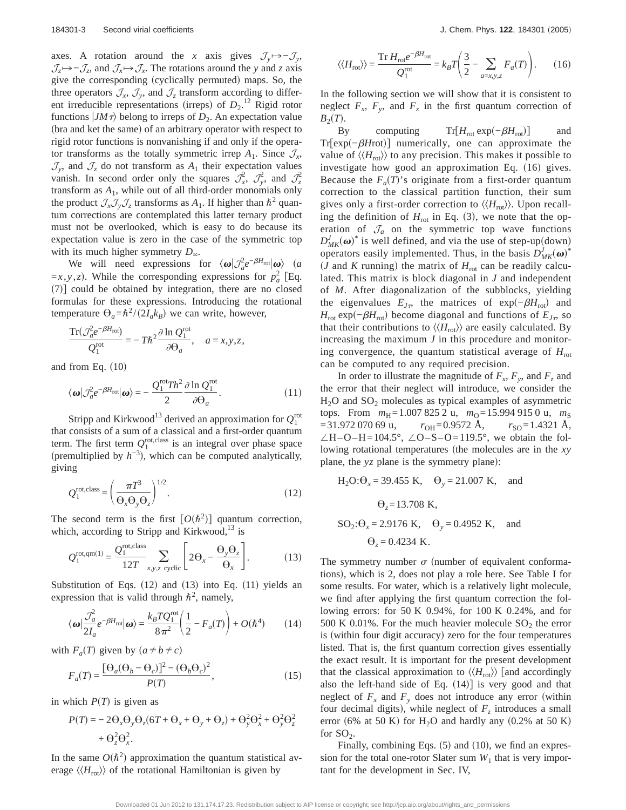axes. A rotation around the *x* axis gives  $\mathcal{J}_y \mapsto -\mathcal{J}_y$ ,  $\mathcal{J}_z \rightarrow -\mathcal{J}_z$ , and  $\mathcal{J}_x \rightarrow \mathcal{J}_x$ . The rotations around the *y* and *z* axis give the corresponding (cyclically permuted) maps. So, the three operators  $\mathcal{J}_x$ ,  $\mathcal{J}_y$ , and  $\mathcal{J}_z$  transform according to different irreducible representations (irreps) of  $D_2$ .<sup>12</sup> Rigid rotor functions  $|JM\tau\rangle$  belong to irreps of  $D_2$ . An expectation value (bra and ket the same) of an arbitrary operator with respect to rigid rotor functions is nonvanishing if and only if the operator transforms as the totally symmetric irrep  $A_1$ . Since  $\mathcal{J}_x$ ,  $\mathcal{J}_y$ , and  $\mathcal{J}_z$  do not transform as  $A_1$  their expectation values vanish. In second order only the squares  $\mathcal{J}_x^2$ ,  $\mathcal{J}_y^2$ , and  $\mathcal{J}_z^2$ transform as  $A_1$ , while out of all third-order monomials only the product  $\mathcal{J}_x \mathcal{J}_y \mathcal{J}_z$  transforms as  $A_1$ . If higher than  $\hbar^2$  quantum corrections are contemplated this latter ternary product must not be overlooked, which is easy to do because its expectation value is zero in the case of the symmetric top with its much higher symmetry  $D_{\infty}$ .

We will need expressions for  $\langle \omega | \mathcal{J}_a^2 e^{-\beta H_{\text{rot}}} | \omega \rangle$  (*a*  $=x, y, z$ ). While the corresponding expressions for  $p_a^2$  [Eq.  $(7)$ ] could be obtained by integration, there are no closed formulas for these expressions. Introducing the rotational temperature  $\Theta_a = \hbar^2 / (2I_a k_B)$  we can write, however,

$$
\frac{\mathrm{Tr}(\mathcal{J}_a^2 e^{-\beta H_{\rm rot}})}{Q_1^{\rm rot}} = -T\hbar^2 \frac{\partial \ln Q_1^{\rm rot}}{\partial \Theta_a}, \quad a = x, y, z,
$$

and from Eq.  $(10)$ 

$$
\langle \boldsymbol{\omega} | \mathcal{J}_a^2 e^{-\beta H_{\text{rot}}} | \boldsymbol{\omega} \rangle = -\frac{Q_1^{\text{rot}} T h^2}{2} \frac{\partial \ln Q_1^{\text{rot}}}{\partial \Theta_a}.
$$
 (11)

Stripp and Kirkwood<sup>13</sup> derived an approximation for  $Q_1^{\text{rot}}$ that consists of a sum of a classical and a first-order quantum term. The first term  $Q_1^{\text{rot,class}}$  is an integral over phase space (premultiplied by  $h^{-3}$ ), which can be computed analytically, giving

$$
Q_1^{\text{rot,class}} = \left(\frac{\pi T^3}{\Theta_x \Theta_y \Theta_z}\right)^{1/2}.
$$
 (12)

The second term is the first  $[O(\hbar^2)]$  quantum correction, which, according to Stripp and Kirkwood, $^{13}$  is

$$
Q_1^{\text{rot,qm}(1)} = \frac{Q_1^{\text{rot,class}}}{12T} \sum_{x,y,z \text{ cyclic}} \left[ 2\Theta_x - \frac{\Theta_y \Theta_z}{\Theta_x} \right].
$$
 (13)

Substitution of Eqs.  $(12)$  and  $(13)$  into Eq.  $(11)$  yields an expression that is valid through  $\hbar^2$ , namely,

$$
\langle \omega | \frac{\mathcal{J}_a^2}{2I_a} e^{-\beta H_{\text{rot}}} | \omega \rangle = \frac{k_B T Q_1^{\text{rot}}}{8 \pi^2} \left( \frac{1}{2} - F_a(T) \right) + O(\hbar^4) \tag{14}
$$

with  $F_a(T)$  given by  $(a \neq b \neq c)$ 

$$
F_a(T) = \frac{\left[\Theta_a(\Theta_b - \Theta_c)\right]^2 - (\Theta_b \Theta_c)^2}{P(T)},\tag{15}
$$

in which  $P(T)$  is given as

$$
P(T) = -2\Theta_x \Theta_y \Theta_z (6T + \Theta_x + \Theta_y + \Theta_z) + \Theta_y^2 \Theta_x^2 + \Theta_y^2 \Theta_z^2 + \Theta_z^2 \Theta_x^2.
$$

In the same  $O(\hbar^2)$  approximation the quantum statistical average  $\langle\langle H_{\text{rot}}\rangle\rangle$  of the rotational Hamiltonian is given by

$$
\langle\langle H_{\text{rot}}\rangle\rangle = \frac{\text{Tr}\,H_{\text{rot}}e^{-\beta H_{\text{rot}}}}{Q_1^{\text{rot}}} = k_B T \left(\frac{3}{2} - \sum_{a=x,y,z} F_a(T)\right). \tag{16}
$$

In the following section we will show that it is consistent to neglect  $F_x$ ,  $F_y$ , and  $F_z$  in the first quantum correction of  $B_2(T)$ .

By computing Tr[ $H_{\text{rot}}$ exp $(-\beta H_{\text{rot}})$ ] and Tr[exp(-*βH*rot)] numerically, one can approximate the value of  $\langle\langle H_{\text{rot}}\rangle$  to any precision. This makes it possible to investigate how good an approximation Eq.  $(16)$  gives. Because the  $F_a(T)$ 's originate from a first-order quantum correction to the classical partition function, their sum gives only a first-order correction to  $\langle H_{\text{rot}} \rangle$ . Upon recalling the definition of  $H_{\text{rot}}$  in Eq. (3), we note that the operation of  $\mathcal{J}_a$  on the symmetric top wave functions  $D_{MK}^{J}(\omega)^{*}$  is well defined, and via the use of step-up(down) operators easily implemented. Thus, in the basis  $D_{MK}^{J}(\boldsymbol{\omega})^*$  $J$  and *K* running) the matrix of  $H_{\text{rot}}$  can be readily calculated. This matrix is block diagonal in *J* and independent of *M*. After diagonalization of the subblocks, yielding the eigenvalues  $E_{J\tau}$ , the matrices of exp $(-\beta H_{\text{rot}})$  and  $H_{\text{rot}} \exp(-\beta H_{\text{rot}})$  become diagonal and functions of  $E_{J\tau}$ , so that their contributions to  $\langle\langle H_{\text{rot}}\rangle\rangle$  are easily calculated. By increasing the maximum *J* in this procedure and monitoring convergence, the quantum statistical average of  $H_{\text{rot}}$ can be computed to any required precision.

In order to illustrate the magnitude of  $F_x$ ,  $F_y$ , and  $F_z$  and the error that their neglect will introduce, we consider the  $H_2O$  and  $SO_2$  molecules as typical examples of asymmetric tops. From  $m_H = 1.0078252$  u,  $m_O = 15.9949150$  u,  $m_S$  $r_{\text{OH}} = 31.972\,070\,69\,\text{u}$ ,  $r_{\text{OH}} = 0.9572\,\text{A}$ ,  $r_{\text{SO}} = 1.4321\,\text{A}$ ,  $\angle H-O-H=104.5^{\circ}$ ,  $\angle O-S-O=119.5^{\circ}$ , we obtain the following rotational temperatures (the molecules are in the *xy* plane, the *yz* plane is the symmetry plane):

H<sub>2</sub>O: 
$$
\theta_x
$$
 = 39.455 K,  $\theta_y$  = 21.007 K, and  
\n $\theta_z$  = 13.708 K,  
\nSO<sub>2</sub>:  $\theta_x$  = 2.9176 K,  $\theta_y$  = 0.4952 K, and  
\n $\theta_z$  = 0.4234 K.

The symmetry number  $\sigma$  (number of equivalent conformations), which is 2, does not play a role here. See Table I for some results. For water, which is a relatively light molecule, we find after applying the first quantum correction the following errors: for 50 K 0.94%, for 100 K 0.24%, and for 500 K 0.01%. For the much heavier molecule  $SO_2$  the error is (within four digit accuracy) zero for the four temperatures listed. That is, the first quantum correction gives essentially the exact result. It is important for the present development that the classical approximation to  $\langle\langle H_{\text{rot}}\rangle\rangle$  [and accordingly also the left-hand side of Eq.  $(14)$  is very good and that neglect of  $F_x$  and  $F_y$  does not introduce any error (within four decimal digits), while neglect of  $F<sub>z</sub>$  introduces a small error (6% at 50 K) for H<sub>2</sub>O and hardly any  $(0.2%$  at 50 K) for  $SO<sub>2</sub>$ .

Finally, combining Eqs.  $(5)$  and  $(10)$ , we find an expression for the total one-rotor Slater sum  $W_1$  that is very important for the development in Sec. IV,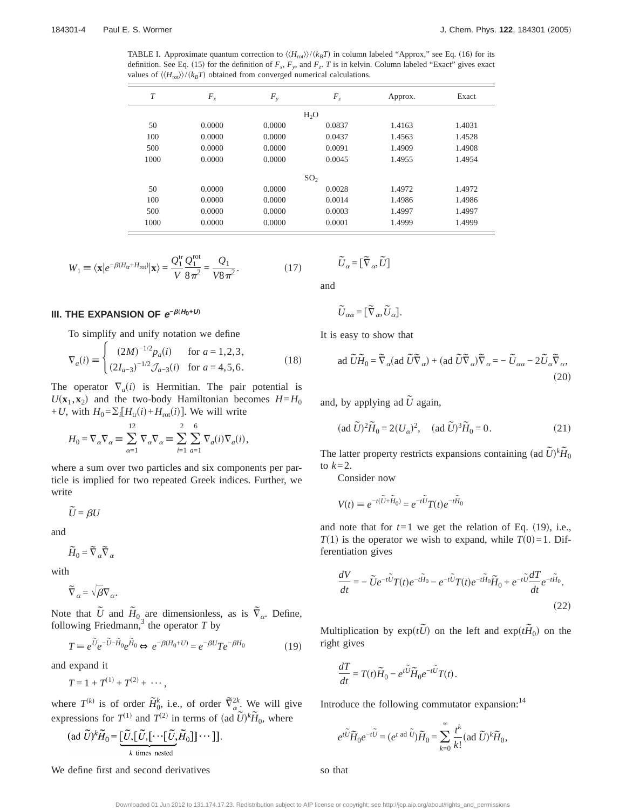TABLE I. Approximate quantum correction to  $\langle H_{\text{rot}} \rangle / (k_B T)$  in column labeled "Approx," see Eq. (16) for its definition. See Eq. (15) for the definition of  $F_x$ ,  $F_y$ , and  $F_z$ . *T* is in kelvin. Column labeled "Exact" gives exact values of  $\langle\langle H_{\text{rot}}\rangle\rangle/\langle k_BT\rangle$  obtained from converged numerical calculations.

| $\tau$ | $F_{x}$ | $F_{y}$ | $F_z$            | Approx. | Exact  |
|--------|---------|---------|------------------|---------|--------|
|        |         |         | H <sub>2</sub> O |         |        |
| 50     | 0.0000  | 0.0000  | 0.0837           | 1.4163  | 1.4031 |
| 100    | 0.0000  | 0.0000  | 0.0437           | 1.4563  | 1.4528 |
| 500    | 0.0000  | 0.0000  | 0.0091           | 1.4909  | 1.4908 |
| 1000   | 0.0000  | 0.0000  | 0.0045           | 1.4955  | 1.4954 |
|        |         |         | SO <sub>2</sub>  |         |        |
| 50     | 0.0000  | 0.0000  | 0.0028           | 1.4972  | 1.4972 |
| 100    | 0.0000  | 0.0000  | 0.0014           | 1.4986  | 1.4986 |
| 500    | 0.0000  | 0.0000  | 0.0003           | 1.4997  | 1.4997 |
| 1000   | 0.0000  | 0.0000  | 0.0001           | 1.4999  | 1.4999 |

$$
W_1 \equiv \langle \mathbf{x} | e^{-\beta (H_{\rm tr} + H_{\rm rot})} | \mathbf{x} \rangle = \frac{Q_1^{\rm tr}}{V} \frac{Q_1^{\rm rot}}{8 \pi^2} = \frac{Q_1}{V 8 \pi^2}.
$$
 (17)

#### **III. THE EXPANSION OF**  $e^{-\beta(H_0+U)}$

To simplify and unify notation we define

$$
\nabla_a(i) \equiv \begin{cases} (2M)^{-1/2} p_a(i) & \text{for } a = 1, 2, 3, \\ (2I_{a-3})^{-1/2} \mathcal{J}_{a-3}(i) & \text{for } a = 4, 5, 6. \end{cases}
$$
(18)

The operator  $\nabla_a(i)$  is Hermitian. The pair potential is  $U(\mathbf{x}_1, \mathbf{x}_2)$  and the two-body Hamiltonian becomes  $H = H_0$ + *U*, with  $H_0 = \sum_i [H_{tr}(i) + H_{rot}(i)]$ . We will write

$$
H_0 = \nabla_\alpha \nabla_\alpha \equiv \sum_{\alpha=1}^{12} \nabla_\alpha \nabla_\alpha \equiv \sum_{i=1}^2 \sum_{a=1}^6 \nabla_a(i) \nabla_a(i),
$$

where a sum over two particles and six components per particle is implied for two repeated Greek indices. Further, we write

 $\tilde{U} = \beta U$ 

and

 $\widetilde{H}_0 = \widetilde{\nabla}_{\alpha} \widetilde{\nabla}_{\alpha}$ 

with

 $\widetilde{\nabla}_{\alpha} = \sqrt{\beta} \nabla_{\alpha}$ .

Note that  $\tilde{U}$  and  $\tilde{H}_{0}$  are dimensionless, as is  $\tilde{\nabla}_{\alpha}$ . Define, following Friedmann,<sup>3</sup> the operator  $T$  by

$$
T \equiv e^{\tilde{U}} e^{-\tilde{U} - \tilde{H}_0} e^{\tilde{H}_0} \Leftrightarrow e^{-\beta (H_0 + U)} = e^{-\beta U} T e^{-\beta H_0}
$$
\n(19)

and expand it

$$
T=1+T^{(1)}+T^{(2)}+\cdots,
$$

where  $T^{(k)}$  is of order  $\widetilde{H}_0^k$ , i.e., of order  $\widetilde{\nabla}_\alpha^{2k}$ . We will give expressions for  $T^{(1)}$  and  $T^{(2)}$  in terms of  $({\rm ad }\ \tilde{U})^k \tilde{H}_0$ , where

$$
(\text{ad }\widetilde{U})^k \widetilde{H}_0 = \underbrace{[\widetilde{U}, [\widetilde{U}, [\cdots [\widetilde{U}, \widetilde{H}_0]] \cdots]]}_{k \text{ times nested}}
$$

We define first and second derivatives

 $\tilde{U}_\alpha = [\tilde{\nabla}_\alpha, \tilde{U}]$ 

and

$$
\widetilde{U}_{\alpha\alpha} = [\widetilde{\nabla}_{\alpha}, \widetilde{U}_{\alpha}].
$$

It is easy to show that

$$
\text{ad }\widetilde{U}\widetilde{H}_0 = \widetilde{\nabla}_{\alpha}(\text{ad }\widetilde{U}\widetilde{\nabla}_{\alpha}) + (\text{ad }\widetilde{U}\widetilde{\nabla}_{\alpha})\widetilde{\nabla}_{\alpha} = -\widetilde{U}_{\alpha\alpha} - 2\widetilde{U}_{\alpha}\widetilde{\nabla}_{\alpha},\tag{20}
$$

and, by applying ad  $\tilde{U}$  again,

$$
(\text{ad }\widetilde{U})^2\widetilde{H}_0 = 2(U_\alpha)^2, \quad (\text{ad }\widetilde{U})^3\widetilde{H}_0 = 0. \tag{21}
$$

The latter property restricts expansions containing (ad  $\tilde{U}^{\dagger k} \tilde{H}_0$ to  $k=2$ .

Consider now

$$
V(t) \equiv e^{-t(\tilde{U} + \tilde{H}_0)} = e^{-t\tilde{U}}T(t)e^{-t\tilde{H}_0}
$$

and note that for  $t=1$  we get the relation of Eq. (19), i.e.,  $T(1)$  is the operator we wish to expand, while  $T(0)=1$ . Differentiation gives

$$
\frac{dV}{dt} = -\tilde{U}e^{-t\tilde{U}}T(t)e^{-t\tilde{H}_0} - e^{-t\tilde{U}}T(t)e^{-t\tilde{H}_0}\tilde{H}_0 + e^{-t\tilde{U}}\frac{dT}{dt}e^{-t\tilde{H}_0}.
$$
\n(22)

Multiplication by  $exp(t\tilde{U})$  on the left and  $exp(t\tilde{H}_0)$  on the right gives

$$
\frac{dT}{dt} = T(t)\widetilde{H}_0 - e^{t\widetilde{U}}\widetilde{H}_0 e^{-t\widetilde{U}}T(t).
$$

Introduce the following commutator expansion:<sup>14</sup>

$$
e^{t\widetilde{U}}\widetilde{H}_0e^{-t\widetilde{U}}=(e^{t \text{ ad }\widetilde{U}})\widetilde{H}_0=\sum_{k=0}^{\infty}\frac{t^k}{k!}(\text{ad }\widetilde{U})^k\widetilde{H}_0,
$$

so that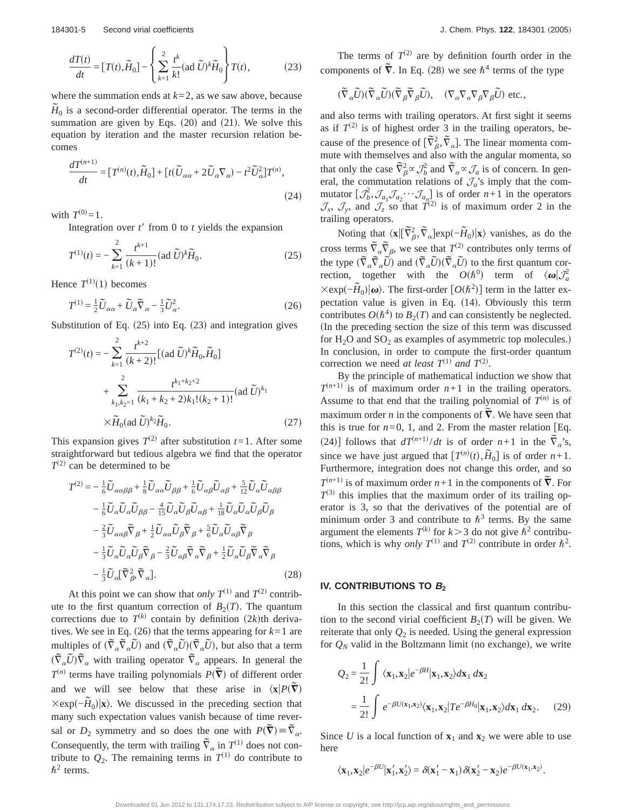$$
\frac{dT(t)}{dt} = [T(t), \widetilde{H}_0] - \left\{ \sum_{k=1}^2 \frac{t^k}{k!} (\text{ad }\widetilde{U})^k \widetilde{H}_0 \right\} T(t),\tag{23}
$$

where the summation ends at  $k=2$ , as we saw above, because  $\tilde{H}_0$  is a second-order differential operator. The terms in the summation are given by Eqs.  $(20)$  and  $(21)$ . We solve this equation by iteration and the master recursion relation becomes

$$
\frac{dT^{(n+1)}}{dt} = [T^{(n)}(t), \widetilde{H}_0] + [t(\widetilde{U}_{\alpha\alpha} + 2\widetilde{U}_{\alpha}\nabla_{\alpha}) - t^2 \widetilde{U}_{\alpha}^2]T^{(n)},
$$
\n(24)

with  $T^{(0)} = 1$ .

Integration over  $t'$  from 0 to  $t$  yields the expansion

$$
T^{(1)}(t) = -\sum_{k=1}^{2} \frac{t^{k+1}}{(k+1)!} (\text{ad }\widetilde{U})^k \widetilde{H}_0.
$$
 (25)

Hence  $T^{(1)}(1)$  becomes

$$
T^{(1)} = \frac{1}{2}\widetilde{U}_{\alpha\alpha} + \widetilde{U}_{\alpha}\widetilde{\nabla}_{\alpha} - \frac{1}{3}\widetilde{U}_{\alpha}^{2}.
$$
 (26)

Substitution of Eq.  $(25)$  into Eq.  $(23)$  and integration gives

$$
T^{(2)}(t) = -\sum_{k=1}^{2} \frac{t^{k+2}}{(k+2)!} [(\text{ad }\widetilde{U})^k \widetilde{H}_0, \widetilde{H}_0]
$$
  
+ 
$$
\sum_{k_1, k_2=1}^{2} \frac{t^{k_1+k_2+2}}{(k_1+k_2+2)k_1!(k_2+1)!} (\text{ad }\widetilde{U})^{k_1}
$$
  
×
$$
\widetilde{H}_0(\text{ad }\widetilde{U})^{k_2} \widetilde{H}_0.
$$
 (27)

This expansion gives  $T^{(2)}$  after substitution  $t=1$ . After some straightforward but tedious algebra we find that the operator  $T^{(2)}$  can be determined to be

$$
T^{(2)} = -\frac{1}{6}\tilde{U}_{\alpha\alpha\beta\beta} + \frac{1}{8}\tilde{U}_{\alpha\alpha}\tilde{U}_{\beta\beta} + \frac{1}{6}\tilde{U}_{\alpha\beta}\tilde{U}_{\alpha\beta} + \frac{5}{12}\tilde{U}_{\alpha}\tilde{U}_{\alpha\beta\beta} - \frac{1}{6}\tilde{U}_{\alpha}\tilde{U}_{\alpha}\tilde{U}_{\beta\beta} - \frac{4}{15}\tilde{U}_{\alpha}\tilde{U}_{\beta}\tilde{U}_{\alpha\beta} + \frac{1}{18}\tilde{U}_{\alpha}\tilde{U}_{\alpha}\tilde{U}_{\beta}\tilde{U}_{\beta} - \frac{2}{3}\tilde{U}_{\alpha\alpha\beta}\tilde{\nabla}_{\beta} + \frac{1}{2}\tilde{U}_{\alpha\alpha}\tilde{U}_{\beta}\tilde{\nabla}_{\beta} + \frac{5}{6}\tilde{U}_{\alpha}\tilde{U}_{\alpha\beta}\tilde{\nabla}_{\beta} - \frac{1}{3}\tilde{U}_{\alpha}\tilde{U}_{\alpha}\tilde{U}_{\beta}\tilde{\nabla}_{\beta} - \frac{2}{3}\tilde{U}_{\alpha\beta}\tilde{\nabla}_{\alpha}\tilde{\nabla}_{\beta} + \frac{1}{2}\tilde{U}_{\alpha}\tilde{U}_{\beta}\tilde{\nabla}_{\alpha}\tilde{\nabla}_{\beta} - \frac{1}{3}\tilde{U}_{\alpha}[\tilde{\nabla}_{\beta}^{2}, \tilde{\nabla}_{\alpha}].
$$
\n(28)

At this point we can show that *only*  $T^{(1)}$  and  $T^{(2)}$  contribute to the first quantum correction of  $B_2(T)$ . The quantum corrections due to  $T^{(k)}$  contain by definition  $(2k)$ th derivatives. We see in Eq. (26) that the terms appearing for  $k=1$  are multiples of  $(\bar{\nabla}_{\alpha} \bar{\nabla}_{\alpha} \bar{U})$  and  $(\bar{\nabla}_{\alpha} \bar{U})(\bar{\nabla}_{\alpha} \bar{U})$ , but also that a term  $(\nabla_{\alpha} \vec{U}) \nabla_{\alpha}$  with trailing operator  $\nabla_{\alpha}$  appears. In general the  $T^{(n)}$  terms have trailing polynomials  $P(\tilde{\nabla})$  of different order and we will see below that these arise in  $\langle \mathbf{x} | P(\overline{\mathbf{v}}) \rangle$  $\frac{3\pi}{2}$   $\frac{1}{\pi}$   $\frac{1}{\pi}$   $\frac{1}{\pi}$   $\frac{1}{\pi}$   $\frac{1}{\pi}$   $\frac{1}{\pi}$   $\frac{1}{\pi}$   $\frac{1}{\pi}$   $\frac{1}{\pi}$   $\frac{1}{\pi}$   $\frac{1}{\pi}$   $\frac{1}{\pi}$   $\frac{1}{\pi}$   $\frac{1}{\pi}$   $\frac{1}{\pi}$   $\frac{1}{\pi}$   $\frac{1}{\pi}$   $\frac{1}{\pi}$   $\frac{1}{\pi}$  many such expectation values vanish because of time reversal or  $D_2$  symmetry and so does the one with  $P(\tilde{\nabla}) = \tilde{\nabla}_{\alpha}$ . Consequently, the term with trailing  $\overline{V}_{\alpha}$  in  $T^{(1)}$  does not contribute to  $Q_2$ . The remaining terms in  $T^{(1)}$  do contribute to  $\hbar^2$  terms.

The terms of  $T^{(2)}$  are by definition fourth order in the components of  $\tilde{\nabla}$ . In Eq. (28) we see  $\hbar^4$  terms of the type

$$
(\widetilde{\nabla}_{\alpha}\widetilde{U})(\widetilde{\nabla}_{\alpha}\widetilde{U})(\widetilde{\nabla}_{\beta}\widetilde{\nabla}_{\beta}\widetilde{U}),\quad (\nabla_{\alpha}\nabla_{\alpha}\nabla_{\beta}\nabla_{\beta}\widetilde{U}) \text{ etc.},
$$

and also terms with trailing operators. At first sight it seems as if  $T^{(2)}$  is of highest order 3 in the trailing operators, because of the presence of  $[\tilde{\nabla}^2_{\beta}, \tilde{\nabla}_{\alpha}]$ . The linear momenta commute with themselves and also with the angular momenta, so that only the case  $\vec{\nabla}^2_{\beta} \propto \hat{\mathcal{J}}^2_{\beta}$  and  $\vec{\nabla}_{\alpha} \propto \hat{\mathcal{J}}_{\alpha}$  is of concern. In general, the commutation relations of  $\mathcal{J}_a$ 's imply that the commutator  $[\mathcal{J}_b^2, \mathcal{J}_{a_1} \mathcal{J}_{a_2} \cdots \mathcal{J}_{a_n}]$  is of order  $n+1$  in the operators  $\mathcal{J}_x$ ,  $\mathcal{J}_y$ , and  $\mathcal{J}_z$  so that  $T^{(2)}$  is of maximum order 2 in the trailing operators.

Noting that  $\langle \mathbf{x} | [\tilde{\nabla}_{\beta}^2, \tilde{\nabla}_{\alpha}] \exp(-\tilde{H}_0) | \mathbf{x} \rangle$  vanishes, as do the cross terms  $\tilde{\nabla}_{\alpha} \tilde{\nabla}_{\beta}$ , we see that  $T^{(2)}$  contributes only terms of the type  $(\nabla_{\alpha} \nabla_{\alpha} \tilde{U})$  and  $(\nabla_{\alpha} \tilde{U})(\nabla_{\alpha} \tilde{U})$  to the first quantum correction, together with the  $O(\hbar^0)$  term of  $\langle \omega | \mathcal{J}_a^2$  $\times$ exp( $-\tilde{H}_0$ )  $|\omega\rangle$ . The first-order  $[O(\hbar^2)]$  term in the latter expectation value is given in Eq.  $(14)$ . Obviously this term contributes  $O(\hbar^4)$  to  $B_2(T)$  and can consistently be neglected. (In the preceding section the size of this term was discussed for  $H_2O$  and  $SO_2$  as examples of asymmetric top molecules.) In conclusion, in order to compute the first-order quantum correction we need *at least*  $T^{(1)}$  *and*  $T^{(2)}$ .

By the principle of mathematical induction we show that  $T^{(n+1)}$  is of maximum order  $n+1$  in the trailing operators. Assume to that end that the trailing polynomial of  $T^{(n)}$  is of maximum order *n* in the components of  $\nabla$ . We have seen that this is true for  $n=0$ , 1, and 2. From the master relation [Eq. (24)] follows that  $dT^{(n+1)}/dt$  is of order *n*+1 in the  $\overline{\tilde{V}}_{\alpha}$ 's, since we have just argued that  $[T^{(n)}(t), \tilde{H}_0]$  is of order  $n+1$ . Furthermore, integration does not change this order, and so  $T^{(n+1)}$  is of maximum order *n*+1 in the components of  $\tilde{\nabla}$ . For  $T^{(3)}$  this implies that the maximum order of its trailing operator is 3, so that the derivatives of the potential are of minimum order 3 and contribute to  $\hbar^3$  terms. By the same argument the elements  $T^{(k)}$  for  $k > 3$  do not give  $\hbar^2$  contributions, which is why *only*  $T^{(1)}$  and  $T^{(2)}$  contribute in order  $\hbar^2$ .

#### IV. CONTRIBUTIONS TO  $B_2$

In this section the classical and first quantum contribution to the second virial coefficient  $B_2(T)$  will be given. We reiterate that only  $Q_2$  is needed. Using the general expression for  $Q_N$  valid in the Boltzmann limit (no exchange), we write

$$
Q_2 = \frac{1}{2!} \int \langle \mathbf{x}_1, \mathbf{x}_2 | e^{-\beta H} | \mathbf{x}_1, \mathbf{x}_2 \rangle d\mathbf{x}_1 d\mathbf{x}_2
$$
  
= 
$$
\frac{1}{2!} \int e^{-\beta U(\mathbf{x}_1, \mathbf{x}_2)} \langle \mathbf{x}_1, \mathbf{x}_2 | Te^{-\beta H_0} | \mathbf{x}_1, \mathbf{x}_2 \rangle d\mathbf{x}_1 d\mathbf{x}_2.
$$
 (29)

Since *U* is a local function of  $\mathbf{x}_1$  and  $\mathbf{x}_2$  we were able to use here

$$
\langle \mathbf{x}_1, \mathbf{x}_2 | e^{-\beta U} | \mathbf{x}_1', \mathbf{x}_2' \rangle = \delta(\mathbf{x}_1' - \mathbf{x}_1) \delta(\mathbf{x}_2' - \mathbf{x}_2) e^{-\beta U(\mathbf{x}_1, \mathbf{x}_2)}.
$$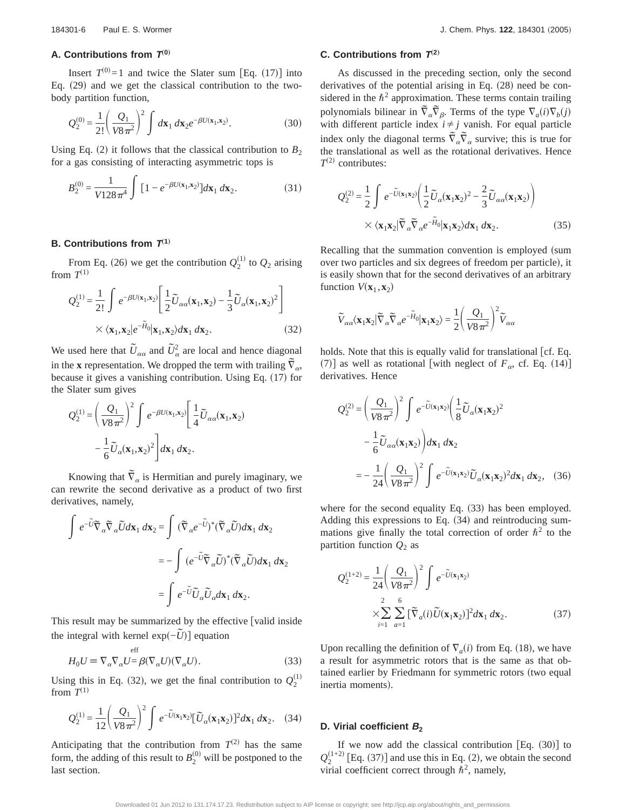# A. Contributions from  $T^{(0)}$

Insert  $T^{(0)} = 1$  and twice the Slater sum [Eq. (17)] into Eq.  $(29)$  and we get the classical contribution to the twobody partition function,

$$
Q_2^{(0)} = \frac{1}{2!} \left(\frac{Q_1}{V8\pi^2}\right)^2 \int d\mathbf{x}_1 d\mathbf{x}_2 e^{-\beta U(\mathbf{x}_1, \mathbf{x}_2)}.
$$
 (30)

Using Eq. (2) it follows that the classical contribution to  $B_2$ for a gas consisting of interacting asymmetric tops is

$$
B_2^{(0)} = \frac{1}{V128\pi^4} \int \left[1 - e^{-\beta U(\mathbf{x}_1, \mathbf{x}_2)}\right] d\mathbf{x}_1 d\mathbf{x}_2.
$$
 (31)

# **B. Contributions from**  $T^{(1)}$

From Eq. (26) we get the contribution  $Q_2^{(1)}$  to  $Q_2$  arising from  $T^{(1)}$ 

$$
Q_2^{(1)} = \frac{1}{2!} \int e^{-\beta U(\mathbf{x}_1, \mathbf{x}_2)} \left[ \frac{1}{2} \widetilde{U}_{\alpha\alpha}(\mathbf{x}_1, \mathbf{x}_2) - \frac{1}{3} \widetilde{U}_{\alpha}(\mathbf{x}_1, \mathbf{x}_2)^2 \right]
$$

$$
\times \langle \mathbf{x}_1, \mathbf{x}_2 | e^{-\widetilde{H}_0} | \mathbf{x}_1, \mathbf{x}_2 \rangle d\mathbf{x}_1 d\mathbf{x}_2.
$$
 (32)

We used here that  $\tilde{U}_{\alpha\alpha}$  and  $\tilde{U}_{\alpha}^2$  are local and hence diagonal in the **x** representation. We dropped the term with trailing  $\overline{v}_a$ , because it gives a vanishing contribution. Using Eq.  $(17)$  for the Slater sum gives

$$
Q_2^{(1)} = \left(\frac{Q_1}{V8\pi^2}\right)^2 \int e^{-\beta U(\mathbf{x}_1, \mathbf{x}_2)} \left[\frac{1}{4}\tilde{U}_{\alpha\alpha}(\mathbf{x}_1, \mathbf{x}_2) - \frac{1}{6}\tilde{U}_{\alpha}(\mathbf{x}_1, \mathbf{x}_2)\right]
$$

Knowing that  $\tilde{\nabla}_{\alpha}$  is Hermitian and purely imaginary, we can rewrite the second derivative as a product of two first derivatives, namely,

$$
\int e^{-\tilde{U}} \tilde{\nabla}_{\alpha} \tilde{\nabla}_{\alpha} \tilde{U} d\mathbf{x}_1 d\mathbf{x}_2 = \int (\tilde{\nabla}_{\alpha} e^{-\tilde{U}})^* (\tilde{\nabla}_{\alpha} \tilde{U}) d\mathbf{x}_1 d\mathbf{x}_2
$$
  

$$
= -\int (e^{-\tilde{U}} \tilde{\nabla}_{\alpha} \tilde{U})^* (\tilde{\nabla}_{\alpha} \tilde{U}) d\mathbf{x}_1 d\mathbf{x}_2
$$
  

$$
= \int e^{-\tilde{U}} \tilde{U}_{\alpha} \tilde{U}_{\alpha} d\mathbf{x}_1 d\mathbf{x}_2.
$$

This result may be summarized by the effective [valid inside the integral with kernel exp $(-\tilde{U})$ ] equation

$$
H_0 U \equiv \nabla_\alpha \nabla_\alpha U = \beta (\nabla_\alpha U)(\nabla_\alpha U). \tag{33}
$$

Using this in Eq. (32), we get the final contribution to  $Q_2^{(1)}$ from  $T^{(1)}$ 

$$
Q_2^{(1)} = \frac{1}{12} \left(\frac{Q_1}{V8\pi^2}\right)^2 \int e^{-\tilde{U}(\mathbf{x}_1\mathbf{x}_2)} [\tilde{U}_\alpha(\mathbf{x}_1\mathbf{x}_2)]^2 d\mathbf{x}_1 d\mathbf{x}_2.
$$
 (34)

Anticipating that the contribution from  $T^{(2)}$  has the same form, the adding of this result to  $B_2^{(0)}$  will be postponed to the last section.

#### **C. Contributions from**  $T^{(2)}$

As discussed in the preceding section, only the second derivatives of the potential arising in Eq.  $(28)$  need be considered in the  $\hbar^2$  approximation. These terms contain trailing polynomials bilinear in  $\tilde{\nabla}_{\alpha} \tilde{\nabla}_{\beta}$ . Terms of the type  $\nabla_{\alpha} (i) \nabla_{b} (j)$ with different particle index  $i \neq j$  vanish. For equal particle index only the diagonal terms  $\tilde{\nabla}_{\alpha} \tilde{\nabla}_{\alpha}$  survive; this is true for the translational as well as the rotational derivatives. Hence  $T^{(2)}$  contributes:

$$
Q_2^{(2)} = \frac{1}{2} \int e^{-\tilde{U}(\mathbf{x}_1 \mathbf{x}_2)} \left( \frac{1}{2} \tilde{U}_{\alpha}(\mathbf{x}_1 \mathbf{x}_2)^2 - \frac{2}{3} \tilde{U}_{\alpha \alpha}(\mathbf{x}_1 \mathbf{x}_2) \right) \times \langle \mathbf{x}_1 \mathbf{x}_2 | \tilde{\nabla}_{\alpha} \tilde{\nabla}_{\alpha} e^{-\tilde{H}_0} | \mathbf{x}_1 \mathbf{x}_2 \rangle d\mathbf{x}_1 d\mathbf{x}_2.
$$
 (35)

Recalling that the summation convention is employed (sum over two particles and six degrees of freedom per particle), it is easily shown that for the second derivatives of an arbitrary function  $V(\mathbf{x}_1, \mathbf{x}_2)$ 

$$
\widetilde{V}_{\alpha\alpha}\langle \mathbf{x}_1\mathbf{x}_2\vert\widetilde{\nabla}_{\alpha}\widetilde{\nabla}_{\alpha}e^{-\widetilde{H}_0}\vert \mathbf{x}_1\mathbf{x}_2\rangle=\frac{1}{2}\Bigg(\frac{\mathcal{Q}_1}{V8\,\pi^2}\Bigg)^2\widetilde{V}_{\alpha\alpha}
$$

holds. Note that this is equally valid for translational [cf. Eq. (7)] as well as rotational [with neglect of  $F_{\alpha}$ , cf. Eq. (14)] derivatives. Hence

$$
Q_2^{(2)} = \left(\frac{Q_1}{V8\pi^2}\right)^2 \int e^{-\tilde{U}(\mathbf{x}_1\mathbf{x}_2)} \left(\frac{1}{8}\tilde{U}_{\alpha}(\mathbf{x}_1\mathbf{x}_2)^2 - \frac{1}{6}\tilde{U}_{\alpha\alpha}(\mathbf{x}_1\mathbf{x}_2)\right) d\mathbf{x}_1 d\mathbf{x}_2
$$
  
= 
$$
-\frac{1}{24} \left(\frac{Q_1}{V8\pi^2}\right)^2 \int e^{-\tilde{U}(\mathbf{x}_1\mathbf{x}_2)} \tilde{U}_{\alpha}(\mathbf{x}_1\mathbf{x}_2)^2 d\mathbf{x}_1 d\mathbf{x}_2, \quad (36)
$$

where for the second equality Eq.  $(33)$  has been employed. Adding this expressions to Eq.  $(34)$  and reintroducing summations give finally the total correction of order  $\hbar^2$  to the partition function  $Q_2$  as

$$
Q_2^{(1+2)} = \frac{1}{24} \left(\frac{Q_1}{V8\pi^2}\right)^2 \int e^{-\tilde{U}(\mathbf{x}_1\mathbf{x}_2)}
$$
  

$$
\times \sum_{i=1}^2 \sum_{a=1}^6 [\tilde{\nabla}_a(i)\tilde{U}(\mathbf{x}_1\mathbf{x}_2)]^2 d\mathbf{x}_1 d\mathbf{x}_2.
$$
 (37)

Upon recalling the definition of  $\nabla_a(i)$  from Eq. (18), we have a result for asymmetric rotors that is the same as that obtained earlier by Friedmann for symmetric rotors (two equal inertia moments).

# **D. Virial coefficient <sup>B</sup><sup>2</sup>**

If we now add the classical contribution [Eq.  $(30)$ ] to  $Q_2^{(1+2)}$  [Eq. (37)] and use this in Eq. (2), we obtain the second virial coefficient correct through  $\hbar^2$ , namely,